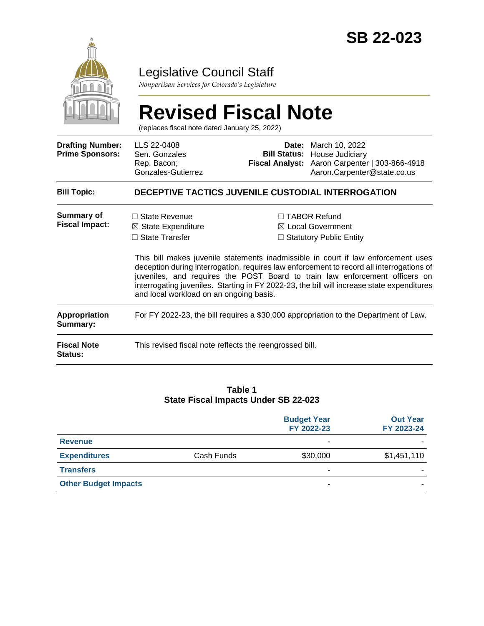

# Legislative Council Staff

*Nonpartisan Services for Colorado's Legislature*

# **Revised Fiscal Note**

(replaces fiscal note dated January 25, 2022)

| <b>Drafting Number:</b><br><b>Prime Sponsors:</b> | LLS 22-0408<br>Sen. Gonzales<br>Rep. Bacon;<br>Gonzales-Gutierrez                                                         |  | <b>Date:</b> March 10, 2022<br><b>Bill Status: House Judiciary</b><br>Fiscal Analyst: Aaron Carpenter   303-866-4918<br>Aaron.Carpenter@state.co.us                                                                                                                                                                                                                                                                                                 |  |  |  |
|---------------------------------------------------|---------------------------------------------------------------------------------------------------------------------------|--|-----------------------------------------------------------------------------------------------------------------------------------------------------------------------------------------------------------------------------------------------------------------------------------------------------------------------------------------------------------------------------------------------------------------------------------------------------|--|--|--|
| <b>Bill Topic:</b>                                | <b>DECEPTIVE TACTICS JUVENILE CUSTODIAL INTERROGATION</b>                                                                 |  |                                                                                                                                                                                                                                                                                                                                                                                                                                                     |  |  |  |
| <b>Summary of</b><br><b>Fiscal Impact:</b>        | $\Box$ State Revenue<br>$\boxtimes$ State Expenditure<br>$\Box$ State Transfer<br>and local workload on an ongoing basis. |  | $\Box$ TABOR Refund<br>$\boxtimes$ Local Government<br>$\Box$ Statutory Public Entity<br>This bill makes juvenile statements inadmissible in court if law enforcement uses<br>deception during interrogation, requires law enforcement to record all interrogations of<br>juveniles, and requires the POST Board to train law enforcement officers on<br>interrogating juveniles. Starting in FY 2022-23, the bill will increase state expenditures |  |  |  |
| Appropriation<br>Summary:                         | For FY 2022-23, the bill requires a \$30,000 appropriation to the Department of Law.                                      |  |                                                                                                                                                                                                                                                                                                                                                                                                                                                     |  |  |  |
| <b>Fiscal Note</b><br>Status:                     | This revised fiscal note reflects the reengrossed bill.                                                                   |  |                                                                                                                                                                                                                                                                                                                                                                                                                                                     |  |  |  |

#### **Table 1 State Fiscal Impacts Under SB 22-023**

|                             |            | <b>Budget Year</b><br>FY 2022-23 | <b>Out Year</b><br>FY 2023-24 |
|-----------------------------|------------|----------------------------------|-------------------------------|
| <b>Revenue</b>              |            | -                                |                               |
| <b>Expenditures</b>         | Cash Funds | \$30,000                         | \$1,451,110                   |
| <b>Transfers</b>            |            |                                  |                               |
| <b>Other Budget Impacts</b> |            | -                                |                               |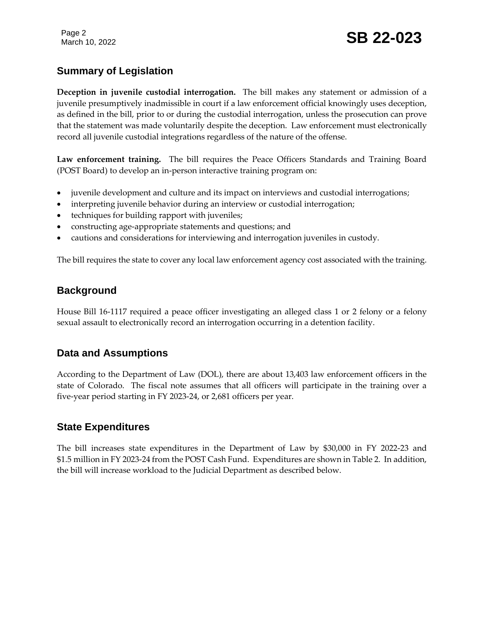# **Summary of Legislation**

**Deception in juvenile custodial interrogation.** The bill makes any statement or admission of a juvenile presumptively inadmissible in court if a law enforcement official knowingly uses deception, as defined in the bill, prior to or during the custodial interrogation, unless the prosecution can prove that the statement was made voluntarily despite the deception. Law enforcement must electronically record all juvenile custodial integrations regardless of the nature of the offense.

**Law enforcement training.** The bill requires the Peace Officers Standards and Training Board (POST Board) to develop an in-person interactive training program on:

- juvenile development and culture and its impact on interviews and custodial interrogations;
- interpreting juvenile behavior during an interview or custodial interrogation;
- techniques for building rapport with juveniles;
- constructing age-appropriate statements and questions; and
- cautions and considerations for interviewing and interrogation juveniles in custody.

The bill requires the state to cover any local law enforcement agency cost associated with the training.

# **Background**

House Bill 16-1117 required a peace officer investigating an alleged class 1 or 2 felony or a felony sexual assault to electronically record an interrogation occurring in a detention facility.

# **Data and Assumptions**

According to the Department of Law (DOL), there are about 13,403 law enforcement officers in the state of Colorado. The fiscal note assumes that all officers will participate in the training over a five-year period starting in FY 2023-24, or 2,681 officers per year.

### **State Expenditures**

The bill increases state expenditures in the Department of Law by \$30,000 in FY 2022-23 and \$1.5 million in FY 2023-24 from the POST Cash Fund. Expenditures are shown in Table 2. In addition, the bill will increase workload to the Judicial Department as described below.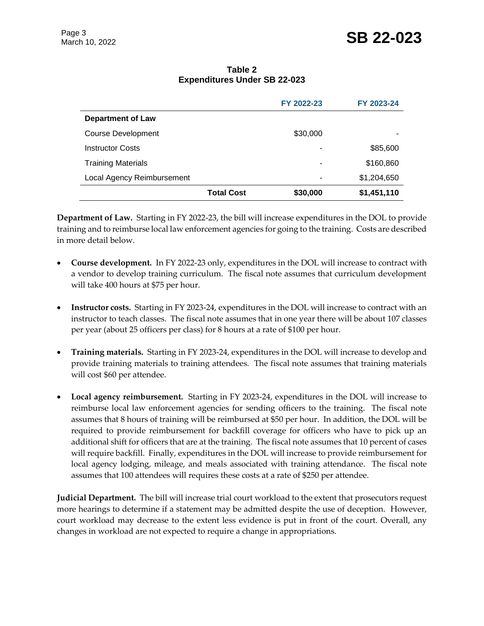**Table 2 Expenditures Under SB 22-023**

|                            |                   | FY 2022-23 | FY 2023-24  |
|----------------------------|-------------------|------------|-------------|
| <b>Department of Law</b>   |                   |            |             |
| <b>Course Development</b>  |                   | \$30,000   |             |
| <b>Instructor Costs</b>    |                   |            | \$85,600    |
| <b>Training Materials</b>  |                   | -          | \$160,860   |
| Local Agency Reimbursement |                   | -          | \$1,204,650 |
|                            | <b>Total Cost</b> | \$30,000   | \$1,451,110 |

**Department of Law.** Starting in FY 2022-23, the bill will increase expenditures in the DOL to provide training and to reimburse local law enforcement agencies for going to the training. Costs are described in more detail below.

- **Course development.** In FY 2022-23 only, expenditures in the DOL will increase to contract with a vendor to develop training curriculum. The fiscal note assumes that curriculum development will take 400 hours at \$75 per hour.
- **Instructor costs.** Starting in FY 2023-24, expenditures in the DOL will increase to contract with an instructor to teach classes. The fiscal note assumes that in one year there will be about 107 classes per year (about 25 officers per class) for 8 hours at a rate of \$100 per hour.
- **Training materials.** Starting in FY 2023-24, expenditures in the DOL will increase to develop and provide training materials to training attendees. The fiscal note assumes that training materials will cost \$60 per attendee.
- **Local agency reimbursement.** Starting in FY 2023-24, expenditures in the DOL will increase to reimburse local law enforcement agencies for sending officers to the training. The fiscal note assumes that 8 hours of training will be reimbursed at \$50 per hour. In addition, the DOL will be required to provide reimbursement for backfill coverage for officers who have to pick up an additional shift for officers that are at the training. The fiscal note assumes that 10 percent of cases will require backfill. Finally, expenditures in the DOL will increase to provide reimbursement for local agency lodging, mileage, and meals associated with training attendance. The fiscal note assumes that 100 attendees will requires these costs at a rate of \$250 per attendee.

**Judicial Department.** The bill will increase trial court workload to the extent that prosecutors request more hearings to determine if a statement may be admitted despite the use of deception. However, court workload may decrease to the extent less evidence is put in front of the court. Overall, any changes in workload are not expected to require a change in appropriations.